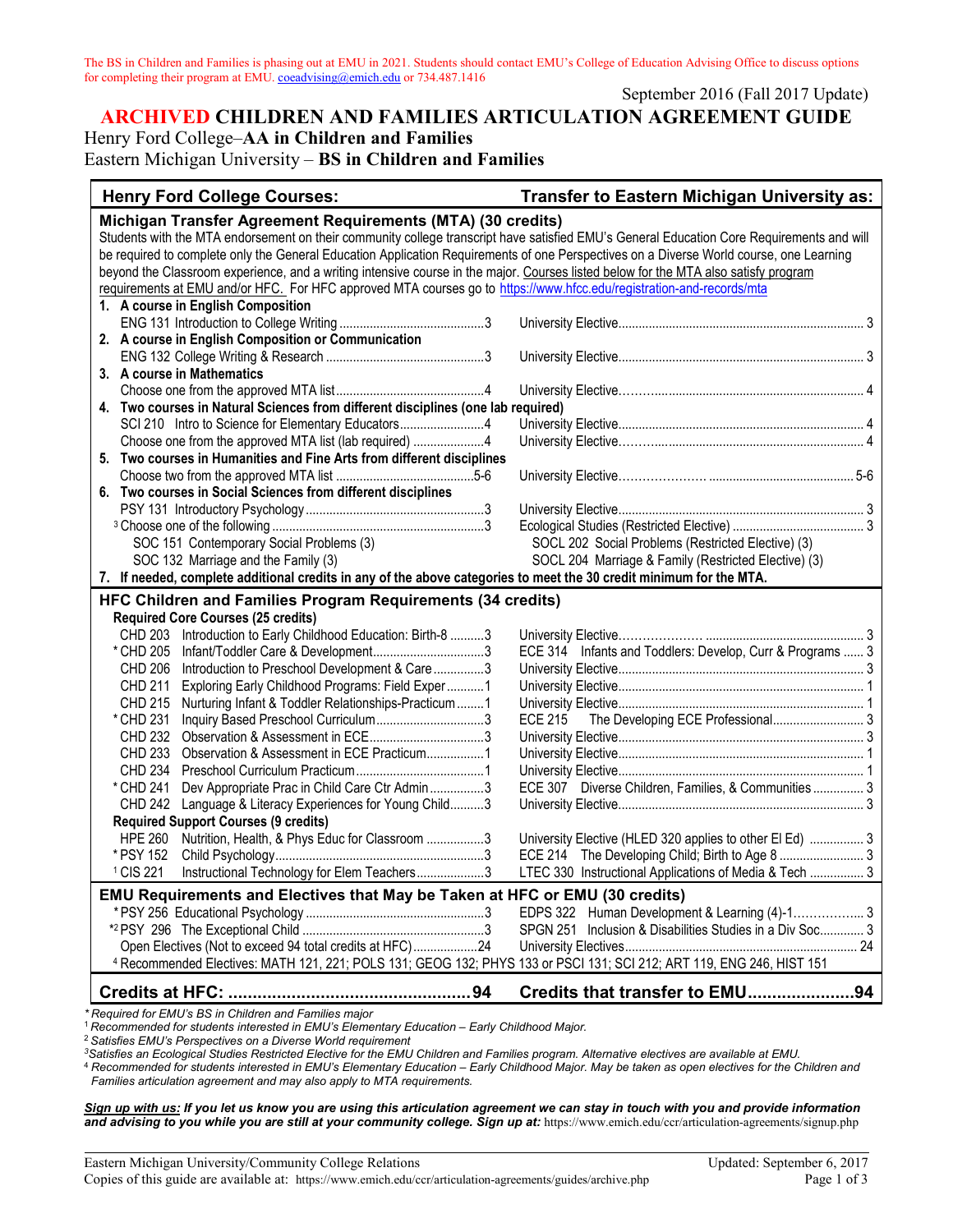The BS in Children and Families is phasing out at EMU in 2021. Students should contact EMU's College of Education Advising Office to discuss options for completing their program at EMU[. coeadvising@emich.edu](mailto:coeadvising@emich.edu) or 734.487.1416

September 2016 (Fall 2017 Update)

## **ARCHIVED CHILDREN AND FAMILIES ARTICULATION AGREEMENT GUIDE** Henry Ford College–**AA in Children and Families**

Eastern Michigan University – **BS in Children and Families**

| <b>Henry Ford College Courses:</b>                                                                                                        | Transfer to Eastern Michigan University as:               |  |
|-------------------------------------------------------------------------------------------------------------------------------------------|-----------------------------------------------------------|--|
| Michigan Transfer Agreement Requirements (MTA) (30 credits)                                                                               |                                                           |  |
| Students with the MTA endorsement on their community college transcript have satisfied EMU's General Education Core Requirements and will |                                                           |  |
| be required to complete only the General Education Application Requirements of one Perspectives on a Diverse World course, one Learning   |                                                           |  |
| beyond the Classroom experience, and a writing intensive course in the major. Courses listed below for the MTA also satisfy program       |                                                           |  |
| requirements at EMU and/or HFC. For HFC approved MTA courses go to https://www.hfcc.edu/registration-and-records/mta                      |                                                           |  |
| 1. A course in English Composition                                                                                                        |                                                           |  |
|                                                                                                                                           |                                                           |  |
| 2. A course in English Composition or Communication                                                                                       |                                                           |  |
|                                                                                                                                           |                                                           |  |
| 3. A course in Mathematics                                                                                                                |                                                           |  |
|                                                                                                                                           |                                                           |  |
| 4. Two courses in Natural Sciences from different disciplines (one lab required)                                                          |                                                           |  |
| SCI 210 Intro to Science for Elementary Educators4                                                                                        |                                                           |  |
| Choose one from the approved MTA list (lab required) 4                                                                                    |                                                           |  |
| 5. Two courses in Humanities and Fine Arts from different disciplines                                                                     |                                                           |  |
|                                                                                                                                           |                                                           |  |
| 6. Two courses in Social Sciences from different disciplines                                                                              |                                                           |  |
|                                                                                                                                           |                                                           |  |
|                                                                                                                                           |                                                           |  |
| SOC 151 Contemporary Social Problems (3)                                                                                                  | SOCL 202 Social Problems (Restricted Elective) (3)        |  |
| SOC 132 Marriage and the Family (3)                                                                                                       | SOCL 204 Marriage & Family (Restricted Elective) (3)      |  |
| 7. If needed, complete additional credits in any of the above categories to meet the 30 credit minimum for the MTA.                       |                                                           |  |
| HFC Children and Families Program Requirements (34 credits)                                                                               |                                                           |  |
| <b>Required Core Courses (25 credits)</b>                                                                                                 |                                                           |  |
| CHD 203 Introduction to Early Childhood Education: Birth-8 3                                                                              |                                                           |  |
| * CHD 205                                                                                                                                 | ECE 314 Infants and Toddlers: Develop, Curr & Programs  3 |  |
| <b>CHD 206</b><br>Introduction to Preschool Development & Care3                                                                           |                                                           |  |
| Exploring Early Childhood Programs: Field Exper 1<br><b>CHD 211</b>                                                                       |                                                           |  |
| Nurturing Infant & Toddler Relationships-Practicum  1<br>CHD 215                                                                          |                                                           |  |
| * CHD 231<br>CHD 232                                                                                                                      | ECE 215 The Developing ECE Professional 3                 |  |
| CHD 233<br>Observation & Assessment in ECE Practicum1                                                                                     |                                                           |  |
| <b>CHD 234</b>                                                                                                                            |                                                           |  |
| Dev Appropriate Prac in Child Care Ctr Admin3<br>* CHD 241                                                                                | ECE 307 Diverse Children, Families, & Communities  3      |  |
| <b>CHD 242</b><br>Language & Literacy Experiences for Young Child3                                                                        |                                                           |  |
| <b>Required Support Courses (9 credits)</b>                                                                                               |                                                           |  |
| Nutrition, Health, & Phys Educ for Classroom 3<br><b>HPE 260</b>                                                                          | University Elective (HLED 320 applies to other El Ed)  3  |  |
| * PSY 152                                                                                                                                 |                                                           |  |
| <sup>1</sup> CIS 221<br>Instructional Technology for Elem Teachers3                                                                       | LTEC 330 Instructional Applications of Media & Tech  3    |  |
|                                                                                                                                           |                                                           |  |
| <b>EMU Requirements and Electives that May be Taken at HFC or EMU (30 credits)</b>                                                        |                                                           |  |
|                                                                                                                                           | EDPS 322 Human Development & Learning (4)-1 3             |  |
| Open Electives (Not to exceed 94 total credits at HFC)24                                                                                  | SPGN 251 Inclusion & Disabilities Studies in a Div Soc 3  |  |
|                                                                                                                                           |                                                           |  |
| 4 Recommended Electives: MATH 121, 221; POLS 131; GEOG 132; PHYS 133 or PSCI 131; SCI 212; ART 119, ENG 246, HIST 151                     |                                                           |  |
|                                                                                                                                           | Credits that transfer to EMU94                            |  |
| Required for EMU's BS in Children and Families major                                                                                      |                                                           |  |

<sup>1</sup> *Recommended for students interested in EMU's Elementary Education – Early Childhood Major.*

<sup>2</sup> *Satisfies EMU's Perspectives on a Diverse World requirement*

*3Satisfies an Ecological Studies Restricted Elective for the EMU Children and Families program. Alternative electives are available at EMU.*

<sup>4</sup> *Recommended for students interested in EMU's Elementary Education – Early Childhood Major. May be taken as open electives for the Children and Families articulation agreement and may also apply to MTA requirements.*

*Sign up with us: If you let us know you are using this articulation agreement we can stay in touch with you and provide information*  and advising to you while you are still at your community college. Sign up at: https://www.emich.edu/ccr/articulation-agreements/signup.php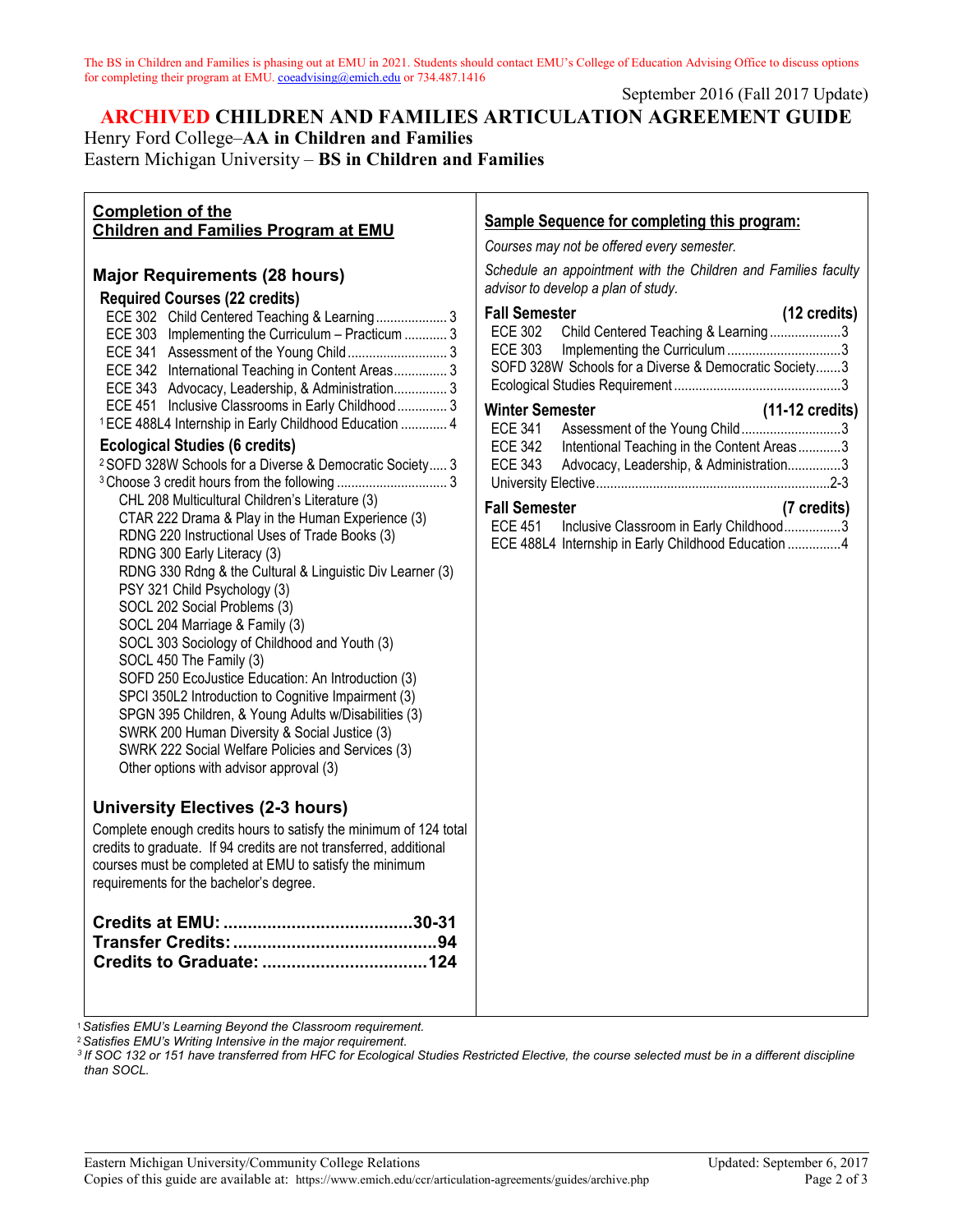The BS in Children and Families is phasing out at EMU in 2021. Students should contact EMU's College of Education Advising Office to discuss options for completing their program at EMU[. coeadvising@emich.edu](mailto:coeadvising@emich.edu) or 734.487.1416

September 2016 (Fall 2017 Update)

# **ARCHIVED CHILDREN AND FAMILIES ARTICULATION AGREEMENT GUIDE** Henry Ford College–**AA in Children and Families**

Eastern Michigan University – **BS in Children and Families**

## **Completion of the**

| טווואוטוו טו גווט<br><b>Children and Families Program at EMU</b>                                                                                                                                                                                                                                                                                                                                                                                                                                                                                                                                                                                                                                                                                                                                                                                                                                                                                                                                                                                                                                                                                                                                                                                                                                                                                                                                                                                                                                                                                                                             | <b>Sample Sequence for completing this program:</b>                                                                                                                                                                                                                                                                                                                                                                                                                                                                                                                                                                                                                                            |
|----------------------------------------------------------------------------------------------------------------------------------------------------------------------------------------------------------------------------------------------------------------------------------------------------------------------------------------------------------------------------------------------------------------------------------------------------------------------------------------------------------------------------------------------------------------------------------------------------------------------------------------------------------------------------------------------------------------------------------------------------------------------------------------------------------------------------------------------------------------------------------------------------------------------------------------------------------------------------------------------------------------------------------------------------------------------------------------------------------------------------------------------------------------------------------------------------------------------------------------------------------------------------------------------------------------------------------------------------------------------------------------------------------------------------------------------------------------------------------------------------------------------------------------------------------------------------------------------|------------------------------------------------------------------------------------------------------------------------------------------------------------------------------------------------------------------------------------------------------------------------------------------------------------------------------------------------------------------------------------------------------------------------------------------------------------------------------------------------------------------------------------------------------------------------------------------------------------------------------------------------------------------------------------------------|
|                                                                                                                                                                                                                                                                                                                                                                                                                                                                                                                                                                                                                                                                                                                                                                                                                                                                                                                                                                                                                                                                                                                                                                                                                                                                                                                                                                                                                                                                                                                                                                                              | Courses may not be offered every semester.                                                                                                                                                                                                                                                                                                                                                                                                                                                                                                                                                                                                                                                     |
| <b>Major Requirements (28 hours)</b><br><b>Required Courses (22 credits)</b><br>ECE 302 Child Centered Teaching & Learning 3<br>ECE 303 Implementing the Curriculum - Practicum  3<br>ECE 342 International Teaching in Content Areas 3<br>ECE 343 Advocacy, Leadership, & Administration 3<br>ECE 451 Inclusive Classrooms in Early Childhood  3<br><sup>1</sup> ECE 488L4 Internship in Early Childhood Education  4<br><b>Ecological Studies (6 credits)</b><br><sup>2</sup> SOFD 328W Schools for a Diverse & Democratic Society 3<br>CHL 208 Multicultural Children's Literature (3)<br>CTAR 222 Drama & Play in the Human Experience (3)<br>RDNG 220 Instructional Uses of Trade Books (3)<br>RDNG 300 Early Literacy (3)<br>RDNG 330 Rdng & the Cultural & Linguistic Div Learner (3)<br>PSY 321 Child Psychology (3)<br>SOCL 202 Social Problems (3)<br>SOCL 204 Marriage & Family (3)<br>SOCL 303 Sociology of Childhood and Youth (3)<br>SOCL 450 The Family (3)<br>SOFD 250 EcoJustice Education: An Introduction (3)<br>SPCI 350L2 Introduction to Cognitive Impairment (3)<br>SPGN 395 Children, & Young Adults w/Disabilities (3)<br>SWRK 200 Human Diversity & Social Justice (3)<br>SWRK 222 Social Welfare Policies and Services (3)<br>Other options with advisor approval (3)<br><b>University Electives (2-3 hours)</b><br>Complete enough credits hours to satisfy the minimum of 124 total<br>credits to graduate. If 94 credits are not transferred, additional<br>courses must be completed at EMU to satisfy the minimum<br>requirements for the bachelor's degree. | Schedule an appointment with the Children and Families faculty<br>advisor to develop a plan of study.<br><b>Fall Semester</b><br>$(12 \text{ credits})$<br>Child Centered Teaching & Learning3<br><b>ECE 302</b><br><b>ECE 303</b><br>SOFD 328W Schools for a Diverse & Democratic Society3<br><b>Winter Semester</b><br>$(11-12 \text{ credits})$<br>Assessment of the Young Child3<br><b>ECE 341</b><br><b>ECE 342</b><br>Intentional Teaching in the Content Areas3<br><b>ECE 343</b><br>Advocacy, Leadership, & Administration3<br>(7 credits)<br><b>Fall Semester</b><br>Inclusive Classroom in Early Childhood3<br><b>ECE 451</b><br>ECE 488L4 Internship in Early Childhood Education 4 |
|                                                                                                                                                                                                                                                                                                                                                                                                                                                                                                                                                                                                                                                                                                                                                                                                                                                                                                                                                                                                                                                                                                                                                                                                                                                                                                                                                                                                                                                                                                                                                                                              |                                                                                                                                                                                                                                                                                                                                                                                                                                                                                                                                                                                                                                                                                                |
|                                                                                                                                                                                                                                                                                                                                                                                                                                                                                                                                                                                                                                                                                                                                                                                                                                                                                                                                                                                                                                                                                                                                                                                                                                                                                                                                                                                                                                                                                                                                                                                              |                                                                                                                                                                                                                                                                                                                                                                                                                                                                                                                                                                                                                                                                                                |

<sup>1</sup>*Satisfies EMU's Learning Beyond the Classroom requirement.*

<sup>2</sup>*Satisfies EMU's Writing Intensive in the major requirement.*

*3 If SOC 132 or 151 have transferred from HFC for Ecological Studies Restricted Elective, the course selected must be in a different discipline than SOCL.*